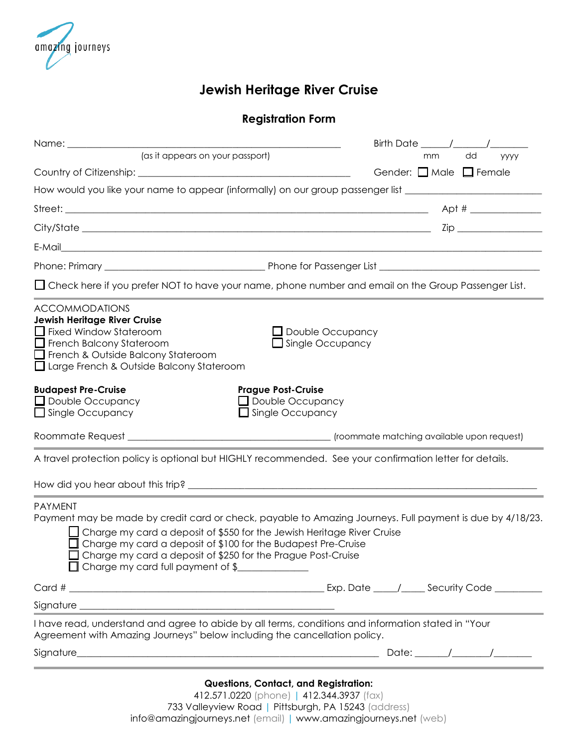

## **Jewish Heritage River Cruise**

## **Registration Form**

| (as it appears on your passport)                                                                                                                                                                                                                                                                                                                                                     | mm<br>dd<br>уууу                               |
|--------------------------------------------------------------------------------------------------------------------------------------------------------------------------------------------------------------------------------------------------------------------------------------------------------------------------------------------------------------------------------------|------------------------------------------------|
|                                                                                                                                                                                                                                                                                                                                                                                      | Gender: $\Box$ Male $\Box$ Female              |
| How would you like your name to appear (informally) on our group passenger list ______________________________                                                                                                                                                                                                                                                                       |                                                |
|                                                                                                                                                                                                                                                                                                                                                                                      | Apt # ______________                           |
|                                                                                                                                                                                                                                                                                                                                                                                      |                                                |
|                                                                                                                                                                                                                                                                                                                                                                                      |                                                |
|                                                                                                                                                                                                                                                                                                                                                                                      |                                                |
| □ Check here if you prefer NOT to have your name, phone number and email on the Group Passenger List.                                                                                                                                                                                                                                                                                |                                                |
| <b>ACCOMMODATIONS</b><br>Jewish Heritage River Cruise<br>Fixed Window Stateroom<br>French Balcony Stateroom<br>French & Outside Balcony Stateroom<br>□ Large French & Outside Balcony Stateroom                                                                                                                                                                                      | $\Box$ Double Occupancy<br>Single Occupancy    |
| <b>Budapest Pre-Cruise</b><br><b>Prague Post-Cruise</b><br>$\Box$ Double Occupancy<br>Double Occupancy<br>Single Occupancy<br>Single Occupancy                                                                                                                                                                                                                                       |                                                |
|                                                                                                                                                                                                                                                                                                                                                                                      |                                                |
| A travel protection policy is optional but HIGHLY recommended. See your confirmation letter for details.                                                                                                                                                                                                                                                                             |                                                |
|                                                                                                                                                                                                                                                                                                                                                                                      |                                                |
| <b>PAYMENT</b><br>Payment may be made by credit card or check, payable to Amazing Journeys. Full payment is due by 4/18/23.<br>$\Box$ Charge my card a deposit of \$550 for the Jewish Heritage River Cruise<br>Charge my card a deposit of \$100 for the Budapest Pre-Cruise<br>Charge my card a deposit of \$250 for the Prague Post-Cruise<br>□ Charge my card full payment of \$ |                                                |
|                                                                                                                                                                                                                                                                                                                                                                                      | Exp. Date _____/______ Security Code _________ |
| Signature <u>experience</u> and the state of the state of the state of the state of the state of the state of the state of the state of the state of the state of the state of the state of the state of the state of the state of                                                                                                                                                   |                                                |
| I have read, understand and agree to abide by all terms, conditions and information stated in "Your<br>Agreement with Amazing Journeys" below including the cancellation policy.                                                                                                                                                                                                     |                                                |
|                                                                                                                                                                                                                                                                                                                                                                                      |                                                |
|                                                                                                                                                                                                                                                                                                                                                                                      |                                                |

**Questions, Contact, and Registration:**

412.571.0220 (phone) | 412.344.3937 (fax) 733 Valleyview Road | Pittsburgh, PA 15243 (address) info@amazingjourneys.net (email) | [www.amazingjourneys.net](http://www.amazingjourneys.net/) (web)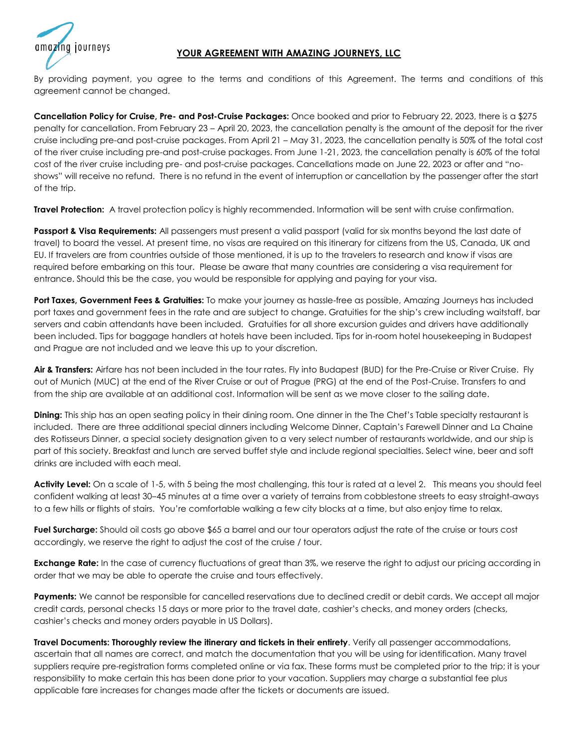## **YOUR AGREEMENT WITH AMAZING JOURNEYS, LLC**

journeys

By providing payment, you agree to the terms and conditions of this Agreement. The terms and conditions of this agreement cannot be changed.

**Cancellation Policy for Cruise, Pre- and Post-Cruise Packages:** Once booked and prior to February 22, 2023, there is a \$275 penalty for cancellation. From February 23 – April 20, 2023, the cancellation penalty is the amount of the deposit for the river cruise including pre-and post-cruise packages. From April 21 – May 31, 2023, the cancellation penalty is 50% of the total cost of the river cruise including pre-and post-cruise packages. From June 1-21, 2023, the cancellation penalty is 60% of the total cost of the river cruise including pre- and post-cruise packages. Cancellations made on June 22, 2023 or after and "noshows" will receive no refund. There is no refund in the event of interruption or cancellation by the passenger after the start of the trip.

**Travel Protection:** A travel protection policy is highly recommended. Information will be sent with cruise confirmation.

**Passport & Visa Requirements:** All passengers must present a valid passport (valid for six months beyond the last date of travel) to board the vessel. At present time, no visas are required on this itinerary for citizens from the US, Canada, UK and EU. If travelers are from countries outside of those mentioned, it is up to the travelers to research and know if visas are required before embarking on this tour. Please be aware that many countries are considering a visa requirement for entrance. Should this be the case, you would be responsible for applying and paying for your visa.

**Port Taxes, Government Fees & Gratuities:** To make your journey as hassle-free as possible, Amazing Journeys has included port taxes and government fees in the rate and are subject to change. Gratuities for the ship's crew including waitstaff, bar servers and cabin attendants have been included. Gratuities for all shore excursion guides and drivers have additionally been included. Tips for baggage handlers at hotels have been included. Tips for in-room hotel housekeeping in Budapest and Prague are not included and we leave this up to your discretion.

**Air & Transfers:** Airfare has not been included in the tour rates. Fly into Budapest (BUD) for the Pre-Cruise or River Cruise. Fly out of Munich (MUC) at the end of the River Cruise or out of Prague (PRG) at the end of the Post-Cruise. Transfers to and from the ship are available at an additional cost. Information will be sent as we move closer to the sailing date.

**Dining:** This ship has an open seating policy in their dining room. One dinner in the The Chef's Table specialty restaurant is included. There are three additional special dinners including Welcome Dinner, Captain's Farewell Dinner and La Chaine des Rotisseurs Dinner, a special society designation given to a very select number of restaurants worldwide, and our ship is part of this society. Breakfast and lunch are served buffet style and include regional specialties. Select wine, beer and soft drinks are included with each meal.

**Activity Level:** On a scale of 1-5, with 5 being the most challenging, this tour is rated at a level 2. This means you should feel confident walking at least 30–45 minutes at a time over a variety of terrains from cobblestone streets to easy straight-aways to a few hills or flights of stairs. You're comfortable walking a few city blocks at a time, but also enjoy time to relax.

**Fuel Surcharge:** Should oil costs go above \$65 a barrel and our tour operators adjust the rate of the cruise or tours cost accordingly, we reserve the right to adjust the cost of the cruise / tour.

**Exchange Rate:** In the case of currency fluctuations of great than 3%, we reserve the right to adjust our pricing according in order that we may be able to operate the cruise and tours effectively.

Payments: We cannot be responsible for cancelled reservations due to declined credit or debit cards. We accept all major credit cards, personal checks 15 days or more prior to the travel date, cashier's checks, and money orders (checks, cashier's checks and money orders payable in US Dollars).

**Travel Documents: Thoroughly review the itinerary and tickets in their entirety**. Verify all passenger accommodations, ascertain that all names are correct, and match the documentation that you will be using for identification. Many travel suppliers require pre-registration forms completed online or via fax. These forms must be completed prior to the trip; it is your responsibility to make certain this has been done prior to your vacation. Suppliers may charge a substantial fee plus applicable fare increases for changes made after the tickets or documents are issued.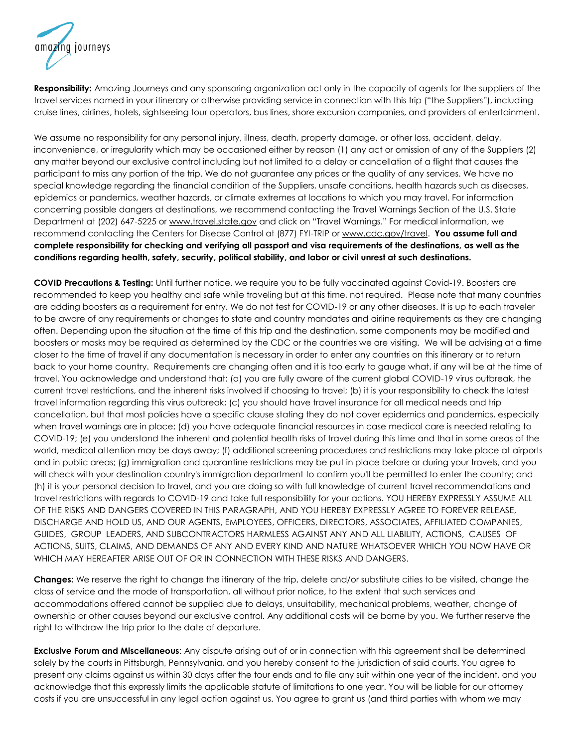azing journeys

**Responsibility:** Amazing Journeys and any sponsoring organization act only in the capacity of agents for the suppliers of the travel services named in your itinerary or otherwise providing service in connection with this trip ("the Suppliers"), including cruise lines, airlines, hotels, sightseeing tour operators, bus lines, shore excursion companies, and providers of entertainment.

We assume no responsibility for any personal injury, illness, death, property damage, or other loss, accident, delay, inconvenience, or irregularity which may be occasioned either by reason (1) any act or omission of any of the Suppliers (2) any matter beyond our exclusive control including but not limited to a delay or cancellation of a flight that causes the participant to miss any portion of the trip. We do not guarantee any prices or the quality of any services. We have no special knowledge regarding the financial condition of the Suppliers, unsafe conditions, health hazards such as diseases, epidemics or pandemics, weather hazards, or climate extremes at locations to which you may travel. For information concerning possible dangers at destinations, we recommend contacting the Travel Warnings Section of the U.S. State Department at (202) 647-5225 or [www.travel.state.gov](http://www.travel.state.gov/) and click on "Travel Warnings." For medical information, we recommend contacting the Centers for Disease Control at (877) FYI-TRIP or [www.cdc.gov/travel.](http://www.cdc.gov/travel) **You assume full and complete responsibility for checking and verifying all passport and visa requirements of the destinations, as well as the conditions regarding health, safety, security, political stability, and labor or civil unrest at such destinations.**

**COVID Precautions & Testing:** Until further notice, we require you to be fully vaccinated against Covid-19. Boosters are recommended to keep you healthy and safe while traveling but at this time, not required. Please note that many countries are adding boosters as a requirement for entry. We do not test for COVID-19 or any other diseases. It is up to each traveler to be aware of any requirements or changes to state and country mandates and airline requirements as they are changing often. Depending upon the situation at the time of this trip and the destination, some components may be modified and boosters or masks may be required as determined by the CDC or the countries we are visiting. We will be advising at a time closer to the time of travel if any documentation is necessary in order to enter any countries on this itinerary or to return back to your home country. Requirements are changing often and it is too early to gauge what, if any will be at the time of travel. You acknowledge and understand that: (a) you are fully aware of the current global COVID-19 virus outbreak, the current travel restrictions, and the inherent risks involved if choosing to travel; (b) it is your responsibility to check the latest travel information regarding this virus outbreak; (c) you should have travel insurance for all medical needs and trip cancellation, but that most policies have a specific clause stating they do not cover epidemics and pandemics, especially when travel warnings are in place; (d) you have adequate financial resources in case medical care is needed relating to COVID-19; (e) you understand the inherent and potential health risks of travel during this time and that in some areas of the world, medical attention may be days away; (f) additional screening procedures and restrictions may take place at airports and in public areas; (g) immigration and quarantine restrictions may be put in place before or during your travels, and you will check with your destination country's immigration department to confirm you'll be permitted to enter the country; and (h) it is your personal decision to travel, and you are doing so with full knowledge of current travel recommendations and travel restrictions with regards to COVID-19 and take full responsibility for your actions. YOU HEREBY EXPRESSLY ASSUME ALL OF THE RISKS AND DANGERS COVERED IN THIS PARAGRAPH, AND YOU HEREBY EXPRESSLY AGREE TO FOREVER RELEASE, DISCHARGE AND HOLD US, AND OUR AGENTS, EMPLOYEES, OFFICERS, DIRECTORS, ASSOCIATES, AFFILIATED COMPANIES, GUIDES, GROUP LEADERS, AND SUBCONTRACTORS HARMLESS AGAINST ANY AND ALL LIABILITY, ACTIONS, CAUSES OF ACTIONS, SUITS, CLAIMS, AND DEMANDS OF ANY AND EVERY KIND AND NATURE WHATSOEVER WHICH YOU NOW HAVE OR WHICH MAY HEREAFTER ARISE OUT OF OR IN CONNECTION WITH THESE RISKS AND DANGERS.

**Changes:** We reserve the right to change the itinerary of the trip, delete and/or substitute cities to be visited, change the class of service and the mode of transportation, all without prior notice, to the extent that such services and accommodations offered cannot be supplied due to delays, unsuitability, mechanical problems, weather, change of ownership or other causes beyond our exclusive control. Any additional costs will be borne by you. We further reserve the right to withdraw the trip prior to the date of departure.

**Exclusive Forum and Miscellaneous**: Any dispute arising out of or in connection with this agreement shall be determined solely by the courts in Pittsburgh, Pennsylvania, and you hereby consent to the jurisdiction of said courts. You agree to present any claims against us within 30 days after the tour ends and to file any suit within one year of the incident, and you acknowledge that this expressly limits the applicable statute of limitations to one year. You will be liable for our attorney costs if you are unsuccessful in any legal action against us. You agree to grant us (and third parties with whom we may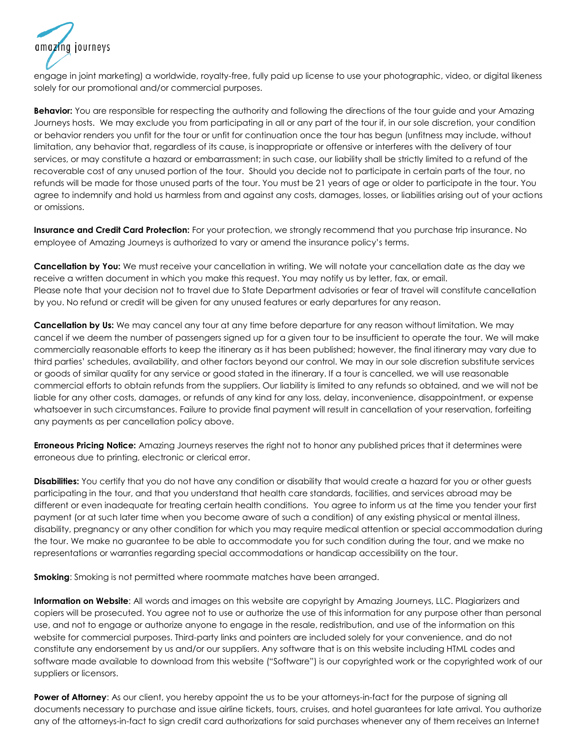amazina iournevs

engage in joint marketing) a worldwide, royalty-free, fully paid up license to use your photographic, video, or digital likeness solely for our promotional and/or commercial purposes.

**Behavior:** You are responsible for respecting the authority and following the directions of the tour guide and your Amazing Journeys hosts. We may exclude you from participating in all or any part of the tour if, in our sole discretion, your condition or behavior renders you unfit for the tour or unfit for continuation once the tour has begun (unfitness may include, without limitation, any behavior that, regardless of its cause, is inappropriate or offensive or interferes with the delivery of tour services, or may constitute a hazard or embarrassment; in such case, our liability shall be strictly limited to a refund of the recoverable cost of any unused portion of the tour. Should you decide not to participate in certain parts of the tour, no refunds will be made for those unused parts of the tour. You must be 21 years of age or older to participate in the tour. You agree to indemnify and hold us harmless from and against any costs, damages, losses, or liabilities arising out of your actions or omissions.

**Insurance and Credit Card Protection:** For your protection, we strongly recommend that you purchase trip insurance. No employee of Amazing Journeys is authorized to vary or amend the insurance policy's terms.

**Cancellation by You:** We must receive your cancellation in writing. We will notate your cancellation date as the day we receive a written document in which you make this request. You may notify us by letter, fax, or email. Please note that your decision not to travel due to State Department advisories or fear of travel will constitute cancellation by you. No refund or credit will be given for any unused features or early departures for any reason.

**Cancellation by Us:** We may cancel any tour at any time before departure for any reason without limitation. We may cancel if we deem the number of passengers signed up for a given tour to be insufficient to operate the tour. We will make commercially reasonable efforts to keep the itinerary as it has been published; however, the final itinerary may vary due to third parties' schedules, availability, and other factors beyond our control. We may in our sole discretion substitute services or goods of similar quality for any service or good stated in the itinerary. If a tour is cancelled, we will use reasonable commercial efforts to obtain refunds from the suppliers. Our liability is limited to any refunds so obtained, and we will not be liable for any other costs, damages, or refunds of any kind for any loss, delay, inconvenience, disappointment, or expense whatsoever in such circumstances. Failure to provide final payment will result in cancellation of your reservation, forfeiting any payments as per cancellation policy above.

**Erroneous Pricing Notice:** Amazing Journeys reserves the right not to honor any published prices that it determines were erroneous due to printing, electronic or clerical error.

**Disabilities:** You certify that you do not have any condition or disability that would create a hazard for you or other guests participating in the tour, and that you understand that health care standards, facilities, and services abroad may be different or even inadequate for treating certain health conditions. You agree to inform us at the time you tender your first payment (or at such later time when you become aware of such a condition) of any existing physical or mental illness, disability, pregnancy or any other condition for which you may require medical attention or special accommodation during the tour. We make no guarantee to be able to accommodate you for such condition during the tour, and we make no representations or warranties regarding special accommodations or handicap accessibility on the tour.

**Smoking**: Smoking is not permitted where roommate matches have been arranged.

**Information on Website**: All words and images on this website are copyright by Amazing Journeys, LLC. Plagiarizers and copiers will be prosecuted. You agree not to use or authorize the use of this information for any purpose other than personal use, and not to engage or authorize anyone to engage in the resale, redistribution, and use of the information on this website for commercial purposes. Third-party links and pointers are included solely for your convenience, and do not constitute any endorsement by us and/or our suppliers. Any software that is on this website including HTML codes and software made available to download from this website ("Software") is our copyrighted work or the copyrighted work of our suppliers or licensors.

**Power of Attorney:** As our client, you hereby appoint the us to be your attorneys-in-fact for the purpose of signing all documents necessary to purchase and issue airline tickets, tours, cruises, and hotel guarantees for late arrival. You authorize any of the attorneys-in-fact to sign credit card authorizations for said purchases whenever any of them receives an Internet